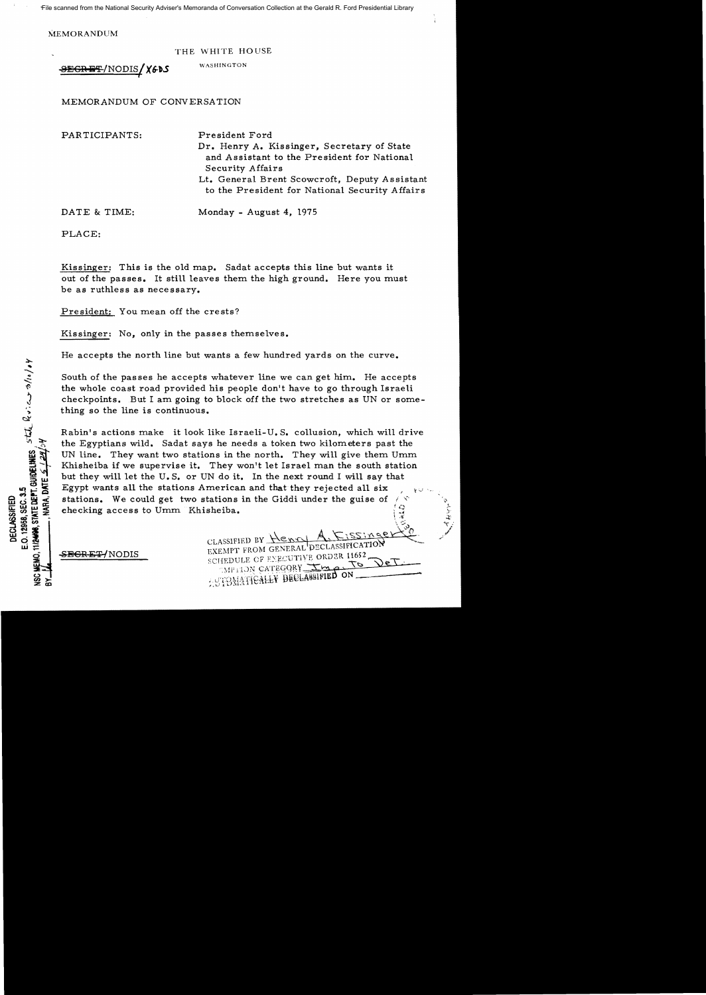MEMORANDUM

THE WHITE HOUSE

 $BEGREF/NODIS$  / **X60S** WASHINGTON I

MEMORANDUM OF CONVERSATION

PARTICIPANTS: President Ford Dr. Henry A. Kissinger, Secretary of State and Assistant to the President for National Security Affairs Lt. General Brent Scowcroft, Deputy Assistant to the President for National Security Affairs

DATE & TIME: Monday - August 4, 1975

PLACE:

Kissinger: This is the old map. Sadat accepts this line but wants it out of the passes. It still leaves them the high ground. Here you must be as ruthless as necessary.

President: You mean off the crests?

Kissinger: No, only in the passes themselves.

He accepts the north line but wants a few hundred yards on the curve.

South of the passes he accepts whatever line we can get him. He accepts the whole coast road provided his people don't have to go through Israeli checkpoints. But I am going to block off the two stretches as UN or something so the line is continuous.

Rabin's actions make it look like Israeli-U. S. collusion, which will drive the Egyptians wild. Sadat says he needs a token two kilometers past the UN line. They want two stations in the north. They will give them  $U_{\text{mm}}$ Khisheiba if we supervise it. They won't let Israel man the south station but they will let the U. S. or UN do it. In the next round I will say that Egypt wants all the stations American and that they rejected all six stations. We could get two stations in the Giddi under the guise of  $\binom{1}{k}$ <br>ehecking access to Umm Khisheiba.

S<del>ECRET/</del>NODIS

CLASSIFIED BY Henry EXEMPT FROM GENERAL DECLASSIFICATION SCHEDULE OF ENECUTIVE ORDER 11652 **CAPITON CATEGORY** APPROX CATEGORY

0''' .'r  $\mathbf{r}$ س<br>مراجع . ,<br>,<br>, r'

E.O. 12968, SEC. 3.5<br>11/2408, STATE DEPT. GUIDELINES  $\int_0^1$  stat\_  $R \cdot 1 \sim \infty$  o/10/ $\cdot V$ NARA, DATE E.O. 12958, SEC. 3.5 **DECLASSIFIED**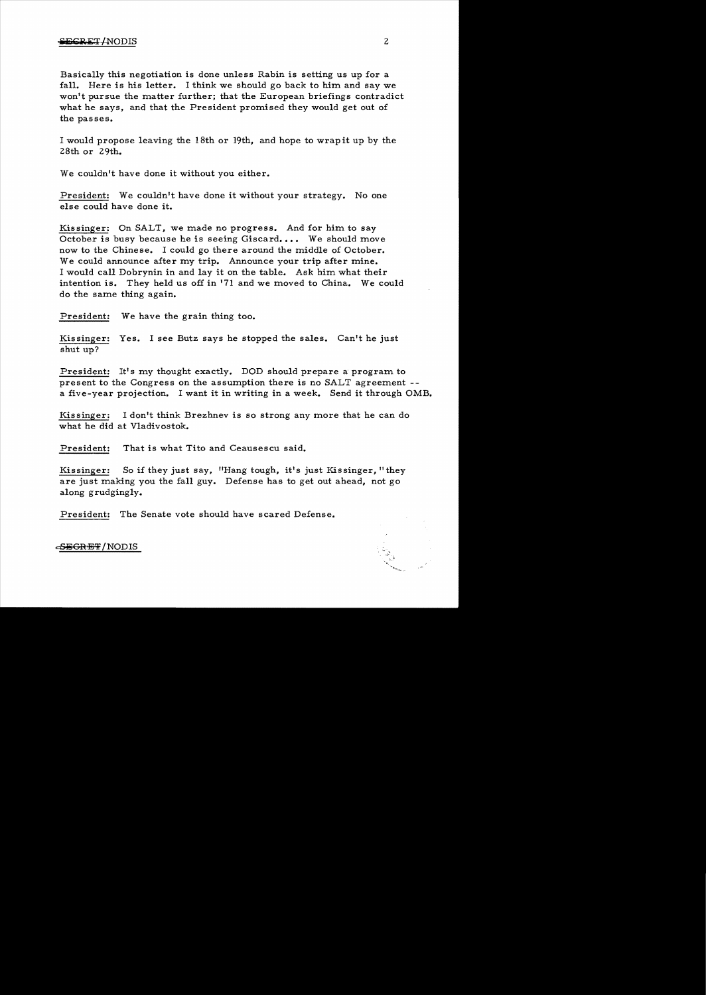Basically this negotiation is done unless Rabin is setting us up for a fall. Here is his letter. I think we should go back to him and say we won't pursue the matter further; that the European briefings contradict what he says, and that the President promised they would get out of the passes.

I would propose leaving the 18th or 19th, and hope to wrap it up by the 28th or 29th.

We couldn't have done it without you either.

President: We couldn't have done it without your strategy. No one else could have done it.

Kissinger: On SALT, we made no progress. And for him to say October is busy because he is seeing Giscard.... We should move now to the Chinese. I could go there around the middle of October. We could announce after my trip. Announce your trip after mine. I would call Dobrynin in and lay it on the table. Ask him what their intention is. They held us off in '71 and we moved to China. We could do the same thing again.

President: We have the grain thing too.

Kissinger: Yes. I see Butz says he stopped the sales. Can't he just shut up?

President: It's my thought exactly. DOD should prepare a program to present to the Congress on the assumption there is no SALT agreement a five-year projection. I want it in writing in a week. Send it through OMB.

Kissinger: I don't think Brezhnev is so strong any more that he can do what he did at Vladivostok.

President: That is what Tito and Ceausescu said.

Kissinger: So if they just say, "Hang tough, it's just Kissinger, "they are just making you the fall guy. Defense has to get out ahead, not go along grudgingly.

President: The Senate vote should have scared Defense.

### <del>SECRET</del>/NODIS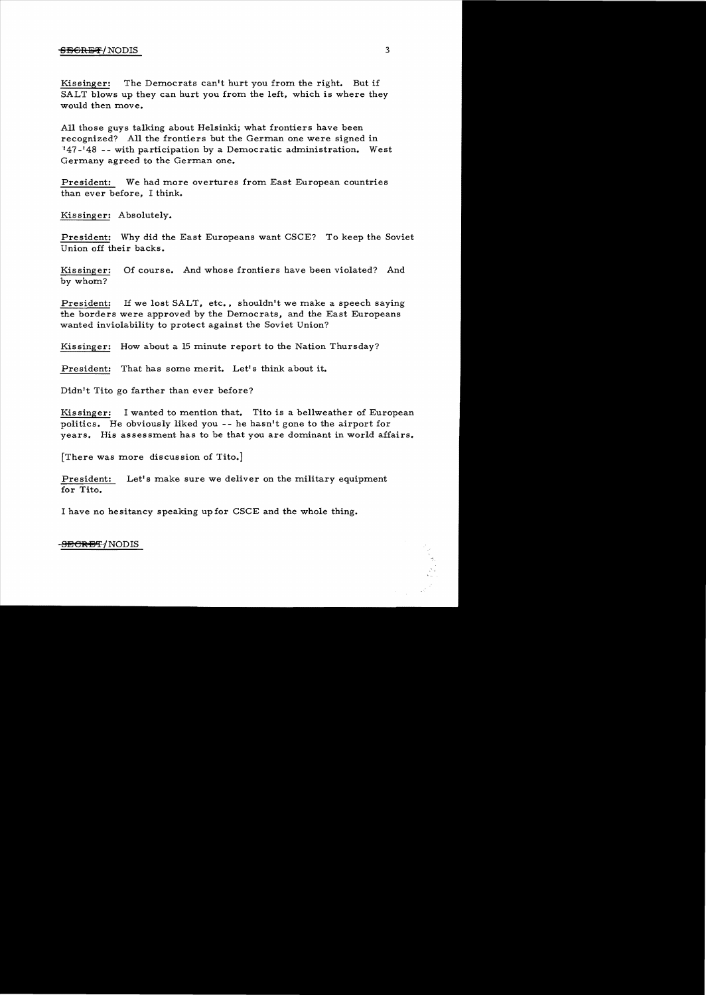#### $\overline{\text{SBGRBF}}/\text{NODIS}$  3

Kissinger: The Democrats can't hurt you from the right. But if SALT blows up they can hurt you from the left, which is where they would then move.

All those guys talking about Helsinki; what frontiers have been recognized? All the frontiers but the German one were signed in "47-'48 -- with participation by a Democratic administration. West Germany agreed to the German one.

President: We had more overtures from East European countries than ever before, I think.

Kissinger: Absolutely.

President: Why did the East Europeans want CSCE? To keep the Soviet Union off their backs.

Kis singer: Of course. And whose frontiers have been violated? And by whom?

President: If we lost SALT, etc., shouldn't we make a speech saying the borders were approved by the Democrats, and the East Europeans wanted inviolability to protect against the Soviet Union?

Kissinger: How about a 15 minute report to the Nation Thursday?

President: That has some merit. Let's think about it.

Didn't Tito go farther than ever before?

Kissinger: I wanted to mention that. Tito is a bellweather of European politics. He obviously liked you - - he hasn't gone to the airport for years. His assessment has to be that you are dominant in world affairs.

[There was more discussion of Tito.]

President: Let's make sure we deliver on the military equipment for Tito.

I have no hesitancy speaking up for CSCE and the whole thing.

#### <del>-SECRET/</del>NODIS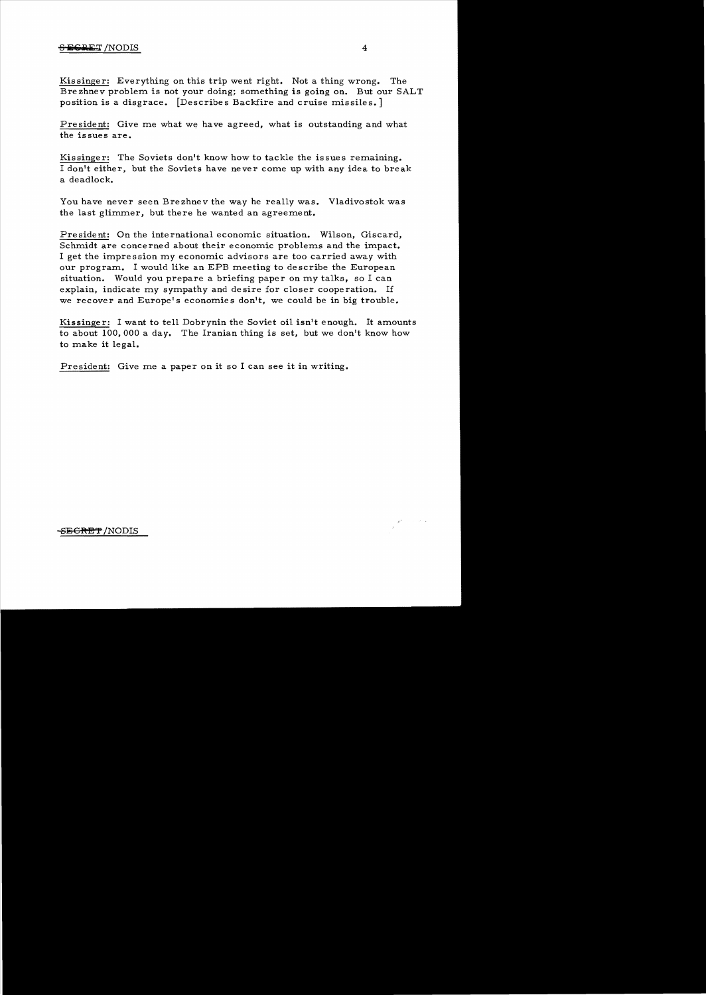## <del>S **ECRET**</del> /NODIS 4

Kis singer: Everything on this trip went right. Not a thing wrong. The Brezhnev problem is not your doing; something is going on. But our SALT position is a disgrace. [Describes Backfire and cruise missiles.]

President: Give me what we have agreed, what is outstanding and what the issues are.

Kissinger: The Soviets don't know how to tackle the issues remaining. I don't either, but the Soviets have never come up with any idea to break a deadlock.

You have never seen Brezhnev the way he really was. Vladivostok was the last glimmer, but there he wanted an agreement.

President: On the international economic situation. Wilson, Giscard, Schmidt are concerned about their economic problems and the impact. I get the impression my economic advisors are too carried away with our program. I would like an EPB meeting to describe the European situation. Would *you* prepare a briefing paper on my talks, so I can explain, indicate my sympathy and desire for closer cooperation. If we recover and Europe's economies don't, we could be in big trouble.

Kissinge r: I want to tell Dobrynin the Soviet oil isn't enough. It amounts to about 100,000 a day. The Iranian thing is set, but we don't know how to make it legal.

President: Give me a paper on it so I can see it in writing.

 $\mathcal{L}^{k+1}$  , where  $\mathcal{L}^{k+1}$ 

# -SEGRET/NODIS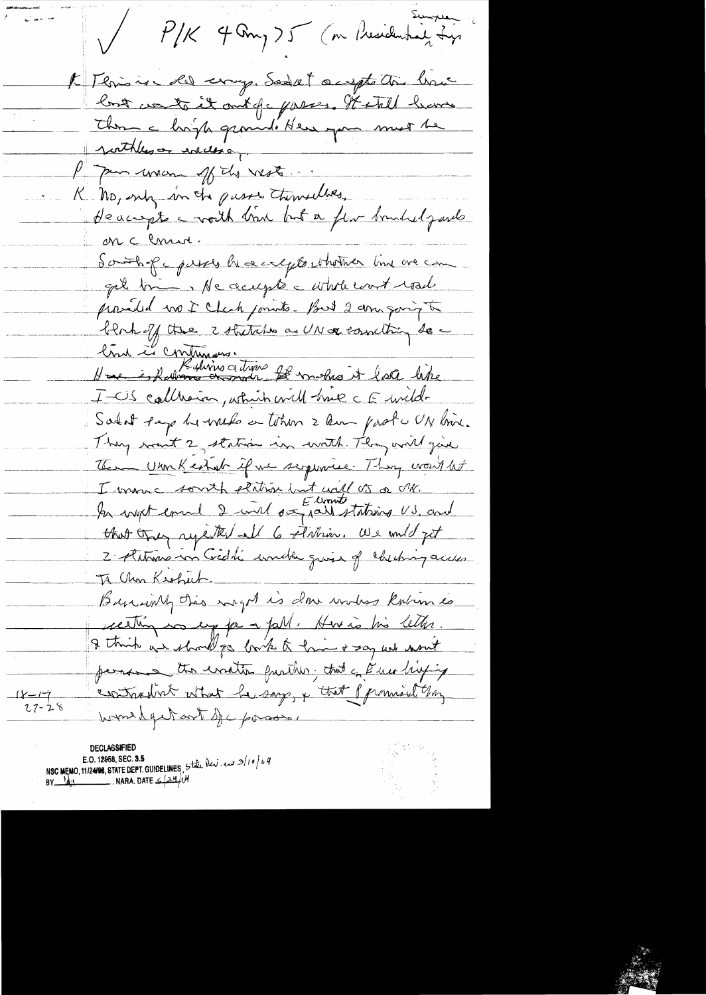P/K 4 Any 75 (nr Presidenting Lys I Thris is all every Seeks a upt this how los conte it ont fe passes. It still have Thom a hopp ground' Here you must be porthless inclusion Me Jam man of the vests. K. No, only in the pusses themselves, Heacept a voith tran but a flor brushedgards on c Conur. Southof yours heartques who the lime are com get trim Ne accepte c whole court read proveded no I Check points. But 2 am going to blank of the 2 stritches as UN or correcting de -I-US callesion, which will have c E wild-Solat page he will a tohin 2 km past UN line. They won't 2, station in with They will give The Urm Kestab if we seepeniee. They would let I warn c south platin but will US or NK. that they repeted all 6 stiliar. We und get 2 Automobili under quix of cheching access To Chan Kroheck. Basic inth this maget is done workes known is receiting no up for a fall. Here is his letter. I think we should go both to him & say we won't personal the evention partition; that a Pace briefing contradint what he say, & that promise my  $18 - 19$ <br> $27 - 28$ would get out of c posses

declass#Ill NSC MEMO, 11/2498, STATE DEPT. GUIDELINES, State New . even 3/10/04<br>BY National MARA. DATE  $\frac{2440}{4}$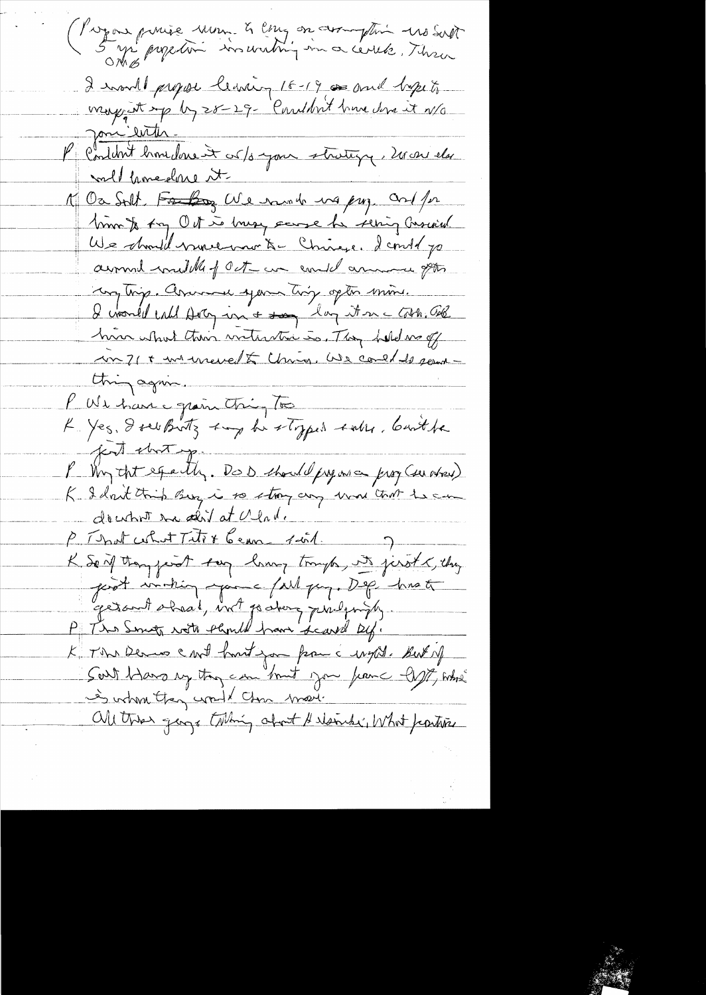Program puise mon à empos avec plus mosant 2 month propose leaving 16-19 as and byzet, Jan With. K Condat biomadane et corps jour stratique, 2000 els millamedone it M Oa Solt, For Day We rund was pry Orl for mont for Oct is may sense he sering cascard We should numerous & Chinese. Leond po around middle of Oct - an end arrange pts Long trip. Arimme spann trip opto min. I would call Doty in a son lay it in a Cost. Cold hun what their interstine is. They hold me of un 71 + une unevelt Unio, We could de perme thing again. V We have grain thing to K. Yes. I see Buts sup he styped sales, but he just short y P Why that equally. Do D should pressure prog (see ahow) doubort tra dir at Ulade P That certaint Titre Cenne suit K Son thought tag laws trough, its just & they good virtury your fall gay. Dog hist getout aheal, int parting probably ... P The Smoth rote thank have deared by. K Time Dernes cart hontigon from a wight. But up South Hans my though can bound you from the thing who is when they would close move. Oll these gaze tilling about Herbert What partire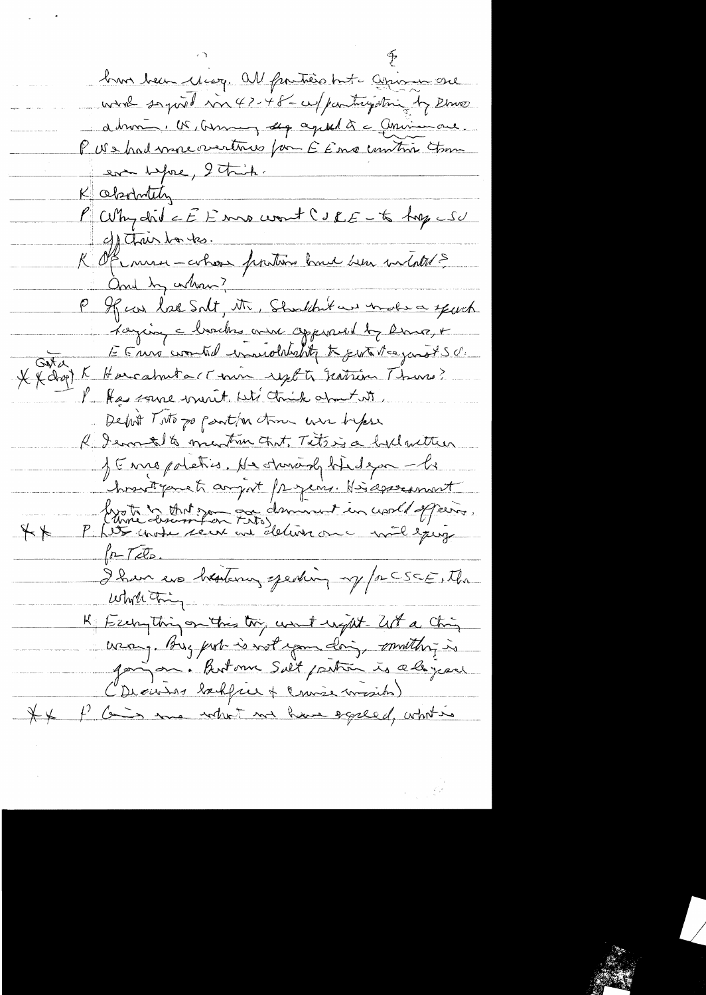but been cleary. All furthers but again are wird sagined in 47-48-cu/participating by Rhuse début, US, Germany sepage de la Chrismane. P US had more overtrus form E Emp contro Com even before, 2 tribe. K absolutely P Why did c E 1 ma wont C s R E - to trep c SU c/ Thair har tes. R Of me - ahos protion hue sen vitates and by arthur ? P If we las Solt, Mr., Shouldn't we under a speech Lazing a barches and appended by Range E Enné contributionship to give the gangt sch  $G_{N,A}$ XX drop) K Harcabuta (Comin reports Gentrin Thurs? l' Has same mont biti think apart it Debut Toto po partir time were before R Jemmet to must time tout, Titsig a hid wither JE me poletics. He starady hedgan -li hostganet argest freguer. His assessment livre commit mon deminut en crochappers.  $+4$  $\sqrt{\rho-T_cZ_D}$ I have us breaking greating up for CSCE, the which thing K Eschything on this try won't up it - let a ching was, Bug put is not your doing, mothing is going on. Butom Sult partien is always al (Dieuses baffree + Course mosibs) It is the Comment we have eggeed, what is